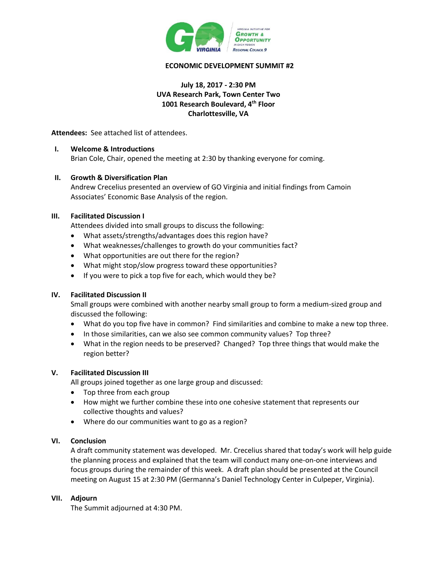

## **ECONOMIC DEVELOPMENT SUMMIT #2**

## **July 18, 2017 - 2:30 PM UVA Research Park, Town Center Two 1001 Research Boulevard, 4th Floor Charlottesville, VA**

**Attendees:** See attached list of attendees.

#### **I. Welcome & Introductions**

Brian Cole, Chair, opened the meeting at 2:30 by thanking everyone for coming.

#### **II. Growth & Diversification Plan**

Andrew Crecelius presented an overview of GO Virginia and initial findings from Camoin Associates' Economic Base Analysis of the region.

#### **III. Facilitated Discussion I**

Attendees divided into small groups to discuss the following:

- What assets/strengths/advantages does this region have?
- What weaknesses/challenges to growth do your communities fact?
- What opportunities are out there for the region?
- What might stop/slow progress toward these opportunities?
- If you were to pick a top five for each, which would they be?

## **IV. Facilitated Discussion II**

Small groups were combined with another nearby small group to form a medium-sized group and discussed the following:

- What do you top five have in common? Find similarities and combine to make a new top three.
- In those similarities, can we also see common community values? Top three?
- What in the region needs to be preserved? Changed? Top three things that would make the region better?

## **V. Facilitated Discussion III**

All groups joined together as one large group and discussed:

- Top three from each group
- How might we further combine these into one cohesive statement that represents our collective thoughts and values?
- Where do our communities want to go as a region?

#### **VI. Conclusion**

A draft community statement was developed. Mr. Crecelius shared that today's work will help guide the planning process and explained that the team will conduct many one-on-one interviews and focus groups during the remainder of this week. A draft plan should be presented at the Council meeting on August 15 at 2:30 PM (Germanna's Daniel Technology Center in Culpeper, Virginia).

## **VII. Adjourn**

The Summit adjourned at 4:30 PM.